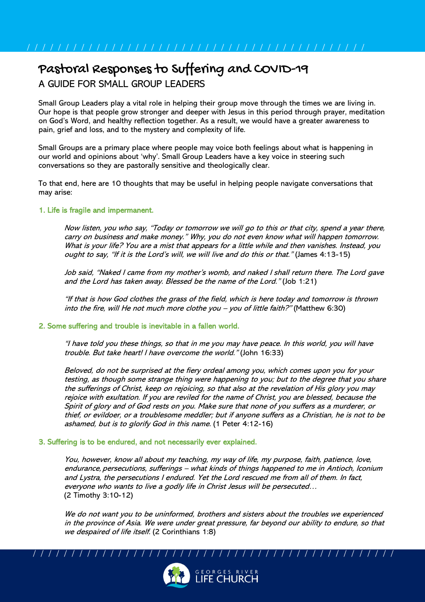# Pastoral Responses to Suffering and COVID-19 A GUIDE FOR SMALL GROUP LEADERS

Small Group Leaders play a vital role in helping their group move through the times we are living in. Our hope is that people grow stronger and deeper with Jesus in this period through prayer, meditation on God's Word, and healthy reflection together. As a result, we would have a greater awareness to pain, grief and loss, and to the mystery and complexity of life.

Small Groups are a primary place where people may voice both feelings about what is happening in our world and opinions about 'why'. Small Group Leaders have a key voice in steering such conversations so they are pastorally sensitive and theologically clear.

To that end, here are 10 thoughts that may be useful in helping people navigate conversations that may arise:

# 1. Life is fragile and impermanent.

Now listen, you who say, "Today or tomorrow we will go to this or that city, spend a year there, carry on business and make money." Why, you do not even know what will happen tomorrow. What is your life? You are a mist that appears for a little while and then vanishes. Instead, you ought to say, "If it is the Lord's will, we will live and do this or that." (James 4:13-15)

Job said, "Naked I came from my mother's womb, and naked I shall return there. The Lord gave and the Lord has taken away. Blessed be the name of the Lord." (Job 1:21)

"If that is how God clothes the grass of the field, which is here today and tomorrow is thrown into the fire, will He not much more clothe you – you of little faith?" (Matthew 6:30)

### 2. Some suffering and trouble is inevitable in a fallen world.

"I have told you these things, so that in me you may have peace. In this world, you will have trouble. But take heart! I have overcome the world." (John 16:33)

Beloved, do not be surprised at the fiery ordeal among you, which comes upon you for your testing, as though some strange thing were happening to you; but to the degree that you share the sufferings of Christ, keep on rejoicing, so that also at the revelation of His glory you may rejoice with exultation. If you are reviled for the name of Christ, you are blessed, because the Spirit of glory and of God rests on you. Make sure that none of you suffers as a murderer, or thief, or evildoer, or a troublesome meddler; but if anyone suffers as a Christian, he is not to be ashamed, but is to glorify God in this name. (1 Peter 4:12-16)

### 3. Suffering is to be endured, and not necessarily ever explained.

You, however, know all about my teaching, my way of life, my purpose, faith, patience, love, endurance, persecutions, sufferings – what kinds of things happened to me in Antioch, Iconium and Lystra, the persecutions I endured. Yet the Lord rescued me from all of them. In fact, everyone who wants to live a godly life in Christ Jesus will be persecuted… (2 Timothy 3:10-12)

We do not want you to be uninformed, brothers and sisters about the troubles we experienced in the province of Asia. We were under great pressure, far beyond our ability to endure, so that we despaired of life itself. (2 Corinthians 1:8)

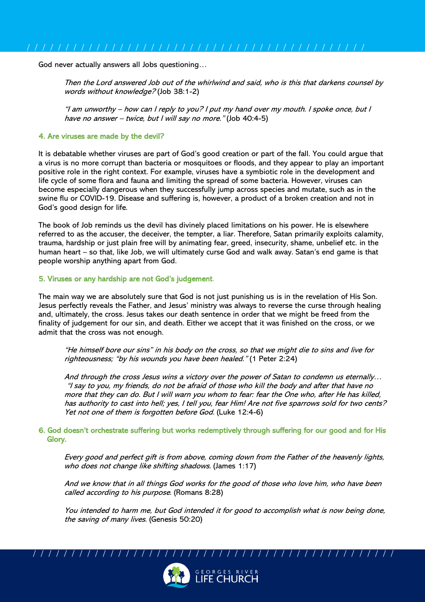God never actually answers all Jobs questioning…

Then the Lord answered Job out of the whirlwind and said, who is this that darkens counsel by words without knowledge? (Job 38:1-2)

"I am unworthy – how can I reply to you? I put my hand over my mouth. I spoke once, but I have no answer – twice, but I will say no more." (Job 40:4-5)

#### 4. Are viruses are made by the devil?

It is debatable whether viruses are part of God's good creation or part of the fall. You could argue that a virus is no more corrupt than bacteria or mosquitoes or floods, and they appear to play an important positive role in the right context. For example, viruses have a symbiotic role in the development and life cycle of some flora and fauna and limiting the spread of some bacteria. However, viruses can become especially dangerous when they successfully jump across species and mutate, such as in the swine flu or COVID-19. Disease and suffering is, however, a product of a broken creation and not in God's good design for life.

The book of Job reminds us the devil has divinely placed limitations on his power. He is elsewhere referred to as the accuser, the deceiver, the tempter, a liar. Therefore, Satan primarily exploits calamity, trauma, hardship or just plain free will by animating fear, greed, insecurity, shame, unbelief etc. in the human heart – so that, like Job, we will ultimately curse God and walk away. Satan's end game is that people worship anything apart from God.

#### 5. Viruses or any hardship are not God's judgement.

The main way we are absolutely sure that God is not just punishing us is in the revelation of His Son. Jesus perfectly reveals the Father, and Jesus' ministry was always to reverse the curse through healing and, ultimately, the cross. Jesus takes our death sentence in order that we might be freed from the finality of judgement for our sin, and death. Either we accept that it was finished on the cross, or we admit that the cross was not enough.

"He himself bore our sins" in his body on the cross, so that we might die to sins and live for righteousness; "by his wounds you have been healed." (1 Peter 2:24)

And through the cross Jesus wins a victory over the power of Satan to condemn us eternally… "I say to you, my friends, do not be afraid of those who kill the body and after that have no more that they can do. But I will warn you whom to fear: fear the One who, after He has killed, has authority to cast into hell; yes, I tell you, fear Him! Are not five sparrows sold for two cents? Yet not one of them is forgotten before God. (Luke 12:4-6)

### 6. God doesn't orchestrate suffering but works redemptively through suffering for our good and for His Glory.

Every good and perfect gift is from above, coming down from the Father of the heavenly lights, who does not change like shifting shadows. (James 1:17)

And we know that in all things God works for the good of those who love him, who have been called according to his purpose. (Romans 8:28)

You intended to harm me, but God intended it for good to accomplish what is now being done, the saving of many lives. (Genesis 50:20)

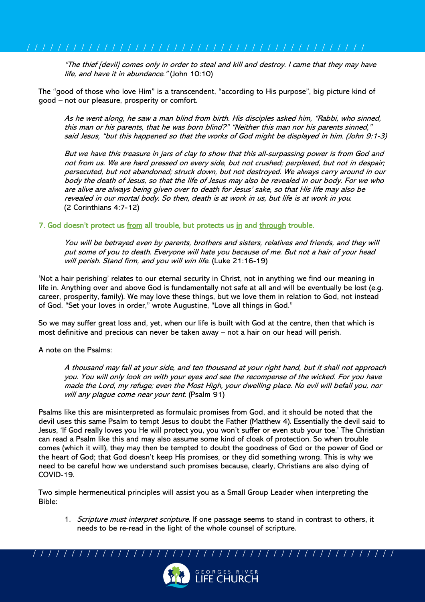"The thief [devil] comes only in order to steal and kill and destroy. I came that they may have life, and have it in abundance." (John 10:10)

The "good of those who love Him" is a transcendent, "according to His purpose", big picture kind of good – not our pleasure, prosperity or comfort.

As he went along, he saw a man blind from birth. His disciples asked him, "Rabbi, who sinned, this man or his parents, that he was born blind?" "Neither this man nor his parents sinned," said Jesus, "but this happened so that the works of God might be displayed in him. (John 9:1-3)

But we have this treasure in jars of clay to show that this all-surpassing power is from God and not from us. We are hard pressed on every side, but not crushed; perplexed, but not in despair; persecuted, but not abandoned; struck down, but not destroyed. We always carry around in our body the death of Jesus, so that the life of Jesus may also be revealed in our body. For we who are alive are always being given over to death for Jesus' sake, so that His life may also be revealed in our mortal body. So then, death is at work in us, but life is at work in you. (2 Corinthians 4:7-12)

# 7. God doesn't protect us from all trouble, but protects us in and through trouble.

You will be betrayed even by parents, brothers and sisters, relatives and friends, and they will put some of you to death. Everyone will hate you because of me. But not a hair of your head will perish. Stand firm, and you will win life. (Luke 21:16-19)

'Not a hair perishing' relates to our eternal security in Christ, not in anything we find our meaning in life in. Anything over and above God is fundamentally not safe at all and will be eventually be lost (e.g. career, prosperity, family). We may love these things, but we love them in relation to God, not instead of God. "Set your loves in order," wrote Augustine, "Love all things in God."

So we may suffer great loss and, yet, when our life is built with God at the centre, then that which is most definitive and precious can never be taken away – not a hair on our head will perish.

### A note on the Psalms:

A thousand may fall at your side, and ten thousand at your right hand, but it shall not approach you. You will only look on with your eyes and see the recompense of the wicked. For you have made the Lord, my refuge; even the Most High, your dwelling place. No evil will befall you, nor will any plague come near your tent. (Psalm 91)

Psalms like this are misinterpreted as formulaic promises from God, and it should be noted that the devil uses this same Psalm to tempt Jesus to doubt the Father (Matthew 4). Essentially the devil said to Jesus, 'If God really loves you He will protect you, you won't suffer or even stub your toe.' The Christian can read a Psalm like this and may also assume some kind of cloak of protection. So when trouble comes (which it will), they may then be tempted to doubt the goodness of God or the power of God or the heart of God; that God doesn't keep His promises, or they did something wrong. This is why we need to be careful how we understand such promises because, clearly, Christians are also dying of COVID-19.

Two simple hermeneutical principles will assist you as a Small Group Leader when interpreting the Bible:

1. Scripture must interpret scripture. If one passage seems to stand in contrast to others, it needs to be re-read in the light of the whole counsel of scripture.

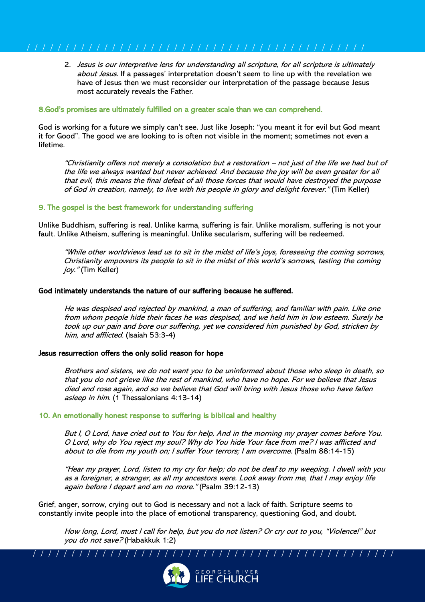2. Jesus is our interpretive lens for understanding all scripture, for all scripture is ultimately about Jesus. If a passages' interpretation doesn't seem to line up with the revelation we have of Jesus then we must reconsider our interpretation of the passage because Jesus most accurately reveals the Father.

### 8.God's promises are ultimately fulfilled on a greater scale than we can comprehend.

God is working for a future we simply can't see. Just like Joseph: "you meant it for evil but God meant it for Good". The good we are looking to is often not visible in the moment; sometimes not even a lifetime.

"Christianity offers not merely a consolation but a restoration – not just of the life we had but of the life we always wanted but never achieved. And because the joy will be even greater for all that evil, this means the final defeat of all those forces that would have destroyed the purpose of God in creation, namely, to live with his people in glory and delight forever." (Tim Keller)

# 9. The gospel is the best framework for understanding suffering

Unlike Buddhism, suffering is real. Unlike karma, suffering is fair. Unlike moralism, suffering is not your fault. Unlike Atheism, suffering is meaningful. Unlike secularism, suffering will be redeemed.

"While other worldviews lead us to sit in the midst of life's joys, foreseeing the coming sorrows, Christianity empowers its people to sit in the midst of this world's sorrows, tasting the coming joy." (Tim Keller)

# God intimately understands the nature of our suffering because he suffered.

He was despised and rejected by mankind, a man of suffering, and familiar with pain. Like one from whom people hide their faces he was despised, and we held him in low esteem. Surely he took up our pain and bore our suffering, yet we considered him punished by God, stricken by him, and afflicted. (Isaiah 53:3-4)

### Jesus resurrection offers the only solid reason for hope

Brothers and sisters, we do not want you to be uninformed about those who sleep in death, so that you do not grieve like the rest of mankind, who have no hope. For we believe that Jesus died and rose again, and so we believe that God will bring with Jesus those who have fallen asleep in him. (1 Thessalonians 4:13-14)

### 10. An emotionally honest response to suffering is biblical and healthy

But I, O Lord, have cried out to You for help, And in the morning my prayer comes before You. O Lord, why do You reject my soul? Why do You hide Your face from me? I was afflicted and about to die from my youth on; I suffer Your terrors; I am overcome. (Psalm 88:14-15)

"Hear my prayer, Lord, listen to my cry for help; do not be deaf to my weeping. I dwell with you as a foreigner, a stranger, as all my ancestors were. Look away from me, that I may enjoy life again before I depart and am no more." (Psalm 39:12-13)

Grief, anger, sorrow, crying out to God is necessary and not a lack of faith. Scripture seems to constantly invite people into the place of emotional transparency, questioning God, and doubt.

How long, Lord, must I call for help, but you do not listen? Or cry out to you, "Violence!" but you do not save? (Habakkuk 1:2)